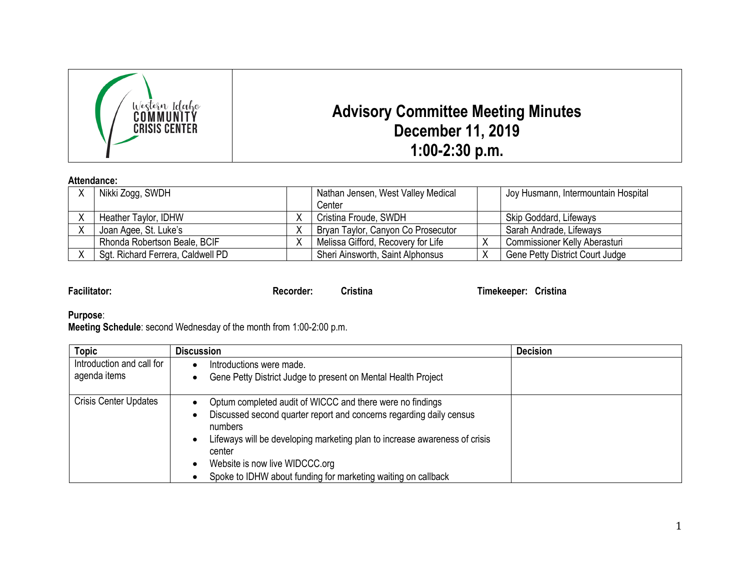

## **Attendance:**

| Nikki Zogg, SWDH                  |   | Nathan Jensen, West Valley Medical | Joy Husmann, Intermountain Hospital |
|-----------------------------------|---|------------------------------------|-------------------------------------|
|                                   |   | Center                             |                                     |
| Heather Taylor, IDHW              |   | Cristina Froude, SWDH              | Skip Goddard, Lifeways              |
| Joan Agee, St. Luke's             |   | Bryan Taylor, Canyon Co Prosecutor | Sarah Andrade, Lifeways             |
| Rhonda Robertson Beale, BCIF      | ∧ | Melissa Gifford, Recovery for Life | Commissioner Kelly Aberasturi       |
| Sgt. Richard Ferrera, Caldwell PD |   | Sheri Ainsworth, Saint Alphonsus   | Gene Petty District Court Judge     |

**Facilitator: Recorder: Cristina Timekeeper: Cristina**

## **Purpose**:

**Meeting Schedule**: second Wednesday of the month from 1:00-2:00 p.m.

| <b>Topic</b>                              | <b>Discussion</b>                                                                                                                                                                                                                                                                                                                                                                  | <b>Decision</b> |
|-------------------------------------------|------------------------------------------------------------------------------------------------------------------------------------------------------------------------------------------------------------------------------------------------------------------------------------------------------------------------------------------------------------------------------------|-----------------|
| Introduction and call for<br>agenda items | Introductions were made.<br>Gene Petty District Judge to present on Mental Health Project                                                                                                                                                                                                                                                                                          |                 |
| <b>Crisis Center Updates</b>              | Optum completed audit of WICCC and there were no findings<br>$\bullet$<br>Discussed second quarter report and concerns regarding daily census<br>٠<br>numbers<br>Lifeways will be developing marketing plan to increase awareness of crisis<br>$\bullet$<br>center<br>Website is now live WIDCCC.org<br>$\bullet$<br>Spoke to IDHW about funding for marketing waiting on callback |                 |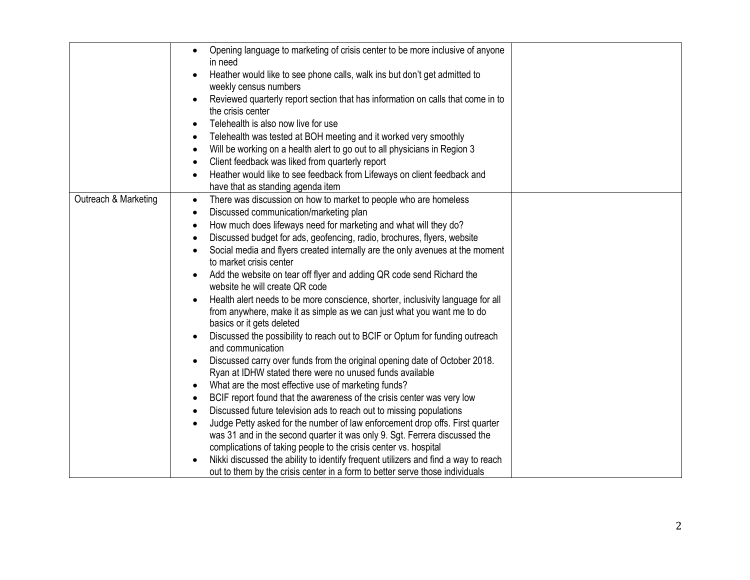|                      | Opening language to marketing of crisis center to be more inclusive of anyone<br>$\bullet$<br>in need          |  |
|----------------------|----------------------------------------------------------------------------------------------------------------|--|
|                      | Heather would like to see phone calls, walk ins but don't get admitted to                                      |  |
|                      | weekly census numbers                                                                                          |  |
|                      | Reviewed quarterly report section that has information on calls that come in to<br>the crisis center           |  |
|                      | Telehealth is also now live for use<br>$\bullet$                                                               |  |
|                      | Telehealth was tested at BOH meeting and it worked very smoothly<br>$\bullet$                                  |  |
|                      | Will be working on a health alert to go out to all physicians in Region 3<br>$\bullet$                         |  |
|                      | Client feedback was liked from quarterly report<br>$\bullet$                                                   |  |
|                      | Heather would like to see feedback from Lifeways on client feedback and                                        |  |
|                      | $\bullet$                                                                                                      |  |
| Outreach & Marketing | have that as standing agenda item                                                                              |  |
|                      | There was discussion on how to market to people who are homeless<br>$\bullet$                                  |  |
|                      | Discussed communication/marketing plan<br>$\bullet$                                                            |  |
|                      | How much does lifeways need for marketing and what will they do?<br>$\bullet$                                  |  |
|                      | Discussed budget for ads, geofencing, radio, brochures, flyers, website<br>$\bullet$                           |  |
|                      | Social media and flyers created internally are the only avenues at the moment<br>to market crisis center       |  |
|                      | Add the website on tear off flyer and adding QR code send Richard the<br>$\bullet$                             |  |
|                      | website he will create QR code                                                                                 |  |
|                      | Health alert needs to be more conscience, shorter, inclusivity language for all<br>$\bullet$                   |  |
|                      | from anywhere, make it as simple as we can just what you want me to do                                         |  |
|                      | basics or it gets deleted                                                                                      |  |
|                      | Discussed the possibility to reach out to BCIF or Optum for funding outreach<br>$\bullet$<br>and communication |  |
|                      | Discussed carry over funds from the original opening date of October 2018.<br>$\bullet$                        |  |
|                      | Ryan at IDHW stated there were no unused funds available                                                       |  |
|                      | What are the most effective use of marketing funds?<br>٠                                                       |  |
|                      | BCIF report found that the awareness of the crisis center was very low<br>$\bullet$                            |  |
|                      | Discussed future television ads to reach out to missing populations<br>$\bullet$                               |  |
|                      | Judge Petty asked for the number of law enforcement drop offs. First quarter<br>$\bullet$                      |  |
|                      | was 31 and in the second quarter it was only 9. Sgt. Ferrera discussed the                                     |  |
|                      | complications of taking people to the crisis center vs. hospital                                               |  |
|                      | Nikki discussed the ability to identify frequent utilizers and find a way to reach                             |  |
|                      | out to them by the crisis center in a form to better serve those individuals                                   |  |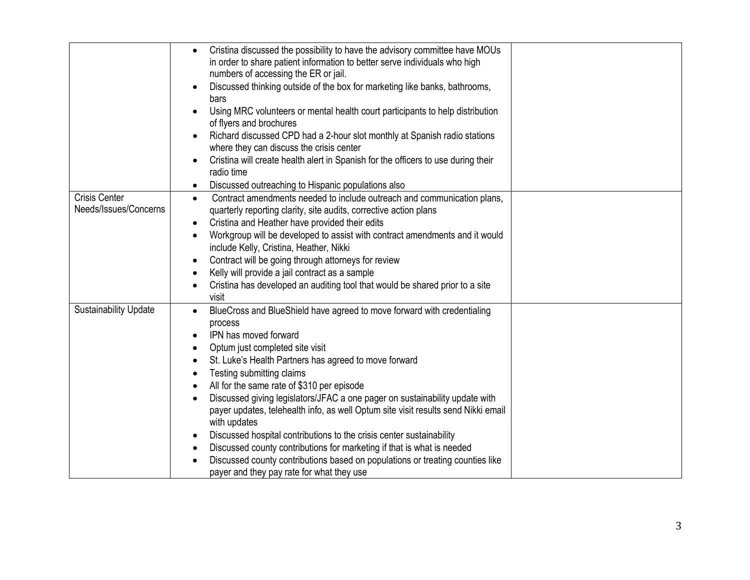|                                               | Cristina discussed the possibility to have the advisory committee have MOUs<br>$\bullet$<br>in order to share patient information to better serve individuals who high<br>numbers of accessing the ER or jail.<br>Discussed thinking outside of the box for marketing like banks, bathrooms,<br>bars<br>Using MRC volunteers or mental health court participants to help distribution<br>of flyers and brochures<br>Richard discussed CPD had a 2-hour slot monthly at Spanish radio stations<br>$\bullet$<br>where they can discuss the crisis center<br>Cristina will create health alert in Spanish for the officers to use during their<br>$\bullet$<br>radio time                                                                                                                                                                                                                   |  |
|-----------------------------------------------|------------------------------------------------------------------------------------------------------------------------------------------------------------------------------------------------------------------------------------------------------------------------------------------------------------------------------------------------------------------------------------------------------------------------------------------------------------------------------------------------------------------------------------------------------------------------------------------------------------------------------------------------------------------------------------------------------------------------------------------------------------------------------------------------------------------------------------------------------------------------------------------|--|
|                                               | Discussed outreaching to Hispanic populations also<br>$\bullet$                                                                                                                                                                                                                                                                                                                                                                                                                                                                                                                                                                                                                                                                                                                                                                                                                          |  |
| <b>Crisis Center</b><br>Needs/Issues/Concerns | Contract amendments needed to include outreach and communication plans,<br>$\bullet$<br>quarterly reporting clarity, site audits, corrective action plans<br>Cristina and Heather have provided their edits<br>$\bullet$<br>Workgroup will be developed to assist with contract amendments and it would<br>$\bullet$<br>include Kelly, Cristina, Heather, Nikki<br>Contract will be going through attorneys for review<br>$\bullet$<br>Kelly will provide a jail contract as a sample<br>$\bullet$<br>Cristina has developed an auditing tool that would be shared prior to a site<br>visit                                                                                                                                                                                                                                                                                              |  |
| <b>Sustainability Update</b>                  | BlueCross and BlueShield have agreed to move forward with credentialing<br>$\bullet$<br>process<br>IPN has moved forward<br>$\bullet$<br>Optum just completed site visit<br>$\bullet$<br>St. Luke's Health Partners has agreed to move forward<br>$\bullet$<br>Testing submitting claims<br>$\bullet$<br>All for the same rate of \$310 per episode<br>$\bullet$<br>Discussed giving legislators/JFAC a one pager on sustainability update with<br>$\bullet$<br>payer updates, telehealth info, as well Optum site visit results send Nikki email<br>with updates<br>Discussed hospital contributions to the crisis center sustainability<br>$\bullet$<br>Discussed county contributions for marketing if that is what is needed<br>$\bullet$<br>Discussed county contributions based on populations or treating counties like<br>$\bullet$<br>payer and they pay rate for what they use |  |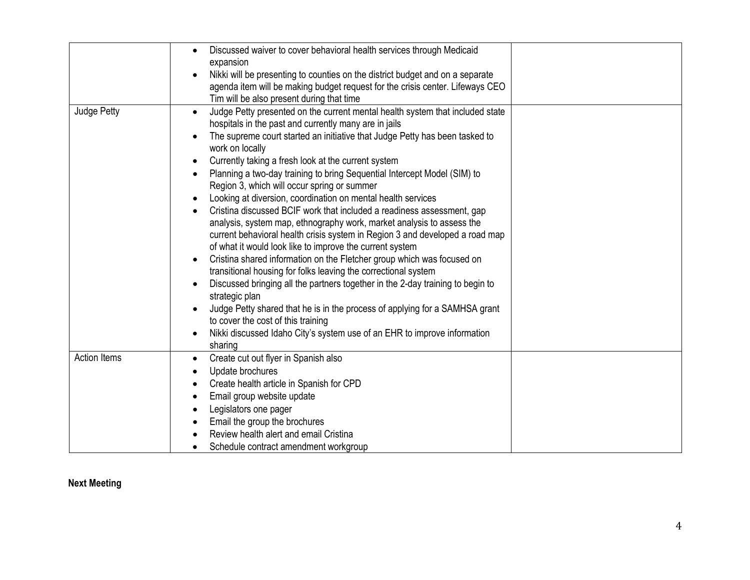|                     | Discussed waiver to cover behavioral health services through Medicaid<br>$\bullet$<br>expansion<br>Nikki will be presenting to counties on the district budget and on a separate<br>agenda item will be making budget request for the crisis center. Lifeways CEO<br>Tim will be also present during that time                                                                                                                                                                                                                                                                                                                                                                                                                                                                                                                                                                                                                                                                                                                                                                                                                                                                                                                                                                                                         |  |
|---------------------|------------------------------------------------------------------------------------------------------------------------------------------------------------------------------------------------------------------------------------------------------------------------------------------------------------------------------------------------------------------------------------------------------------------------------------------------------------------------------------------------------------------------------------------------------------------------------------------------------------------------------------------------------------------------------------------------------------------------------------------------------------------------------------------------------------------------------------------------------------------------------------------------------------------------------------------------------------------------------------------------------------------------------------------------------------------------------------------------------------------------------------------------------------------------------------------------------------------------------------------------------------------------------------------------------------------------|--|
| Judge Petty         | Judge Petty presented on the current mental health system that included state<br>$\bullet$<br>hospitals in the past and currently many are in jails<br>The supreme court started an initiative that Judge Petty has been tasked to<br>work on locally<br>Currently taking a fresh look at the current system<br>Planning a two-day training to bring Sequential Intercept Model (SIM) to<br>$\bullet$<br>Region 3, which will occur spring or summer<br>Looking at diversion, coordination on mental health services<br>$\bullet$<br>Cristina discussed BCIF work that included a readiness assessment, gap<br>analysis, system map, ethnography work, market analysis to assess the<br>current behavioral health crisis system in Region 3 and developed a road map<br>of what it would look like to improve the current system<br>Cristina shared information on the Fletcher group which was focused on<br>$\bullet$<br>transitional housing for folks leaving the correctional system<br>Discussed bringing all the partners together in the 2-day training to begin to<br>$\bullet$<br>strategic plan<br>Judge Petty shared that he is in the process of applying for a SAMHSA grant<br>to cover the cost of this training<br>Nikki discussed Idaho City's system use of an EHR to improve information<br>sharing |  |
| <b>Action Items</b> | Create cut out flyer in Spanish also<br>$\bullet$<br>Update brochures<br>$\bullet$<br>Create health article in Spanish for CPD<br>$\bullet$<br>Email group website update<br>$\bullet$<br>Legislators one pager<br>Email the group the brochures<br>Review health alert and email Cristina<br>Schedule contract amendment workgroup                                                                                                                                                                                                                                                                                                                                                                                                                                                                                                                                                                                                                                                                                                                                                                                                                                                                                                                                                                                    |  |

## **Next Meeting**